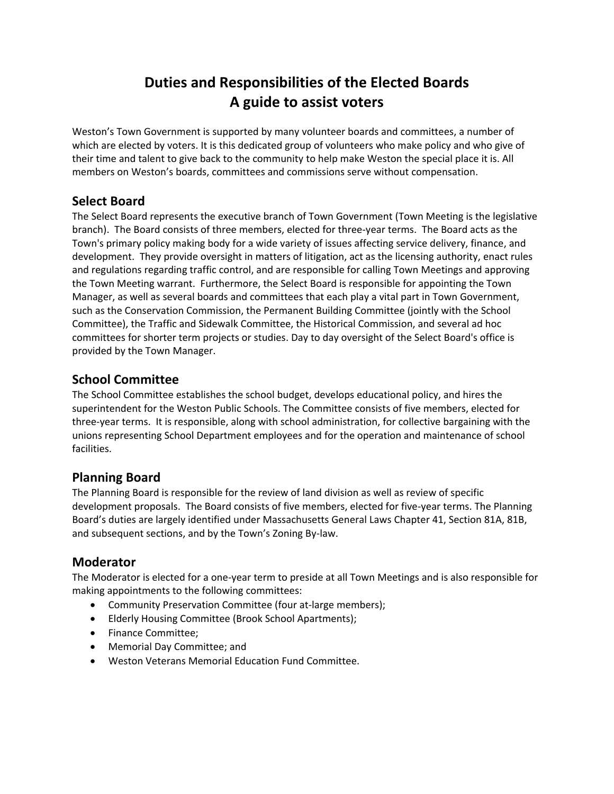# **Duties and Responsibilities of the Elected Boards A guide to assist voters**

Weston's Town Government is supported by many volunteer boards and committees, a number of which are elected by voters. It is this dedicated group of volunteers who make policy and who give of their time and talent to give back to the community to help make Weston the special place it is. All members on Weston's boards, committees and commissions serve without compensation.

## **Select Board**

The Select Board represents the executive branch of Town Government (Town Meeting is the legislative branch). The Board consists of three members, elected for three-year terms. The Board acts as the Town's primary policy making body for a wide variety of issues affecting service delivery, finance, and development. They provide oversight in matters of litigation, act as the licensing authority, enact rules and regulations regarding traffic control, and are responsible for calling Town Meetings and approving the Town Meeting warrant. Furthermore, the Select Board is responsible for appointing the Town Manager, as well as several boards and committees that each play a vital part in Town Government, such as the Conservation Commission, the Permanent Building Committee (jointly with the School Committee), the Traffic and Sidewalk Committee, the Historical Commission, and several ad hoc committees for shorter term projects or studies. Day to day oversight of the Select Board's office is provided by the Town Manager.

# **School Committee**

The School Committee establishes the school budget, develops educational policy, and hires the superintendent for the Weston Public Schools. The Committee consists of five members, elected for three-year terms. It is responsible, along with school administration, for collective bargaining with the unions representing School Department employees and for the operation and maintenance of school facilities.

### **Planning Board**

The Planning Board is responsible for the review of land division as well as review of specific development proposals. The Board consists of five members, elected for five-year terms. The Planning Board's duties are largely identified under Massachusetts General Laws Chapter 41, Section 81A, 81B, and subsequent sections, and by the Town's Zoning By-law.

# **Moderator**

The Moderator is elected for a one-year term to preside at all Town Meetings and is also responsible for making appointments to the following committees:

- Community Preservation Committee (four at-large members);
- Elderly Housing Committee (Brook School Apartments);
- Finance Committee;
- Memorial Day Committee; and
- Weston Veterans Memorial Education Fund Committee.